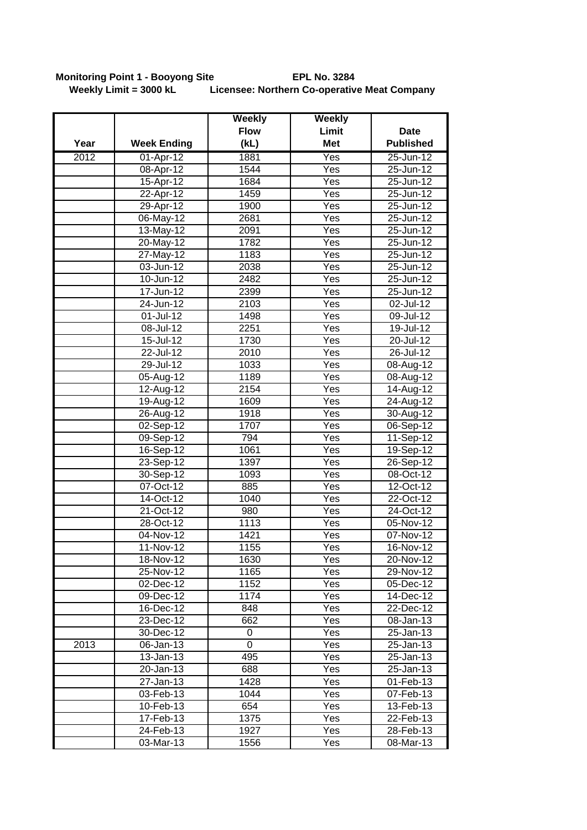## **Monitoring Point 1 - Booyong Site EPL No. 3284 Weekly Limit = 3000 kL Licensee: Northern Co-operative Meat Company**

|      |                         | <b>Weekly</b> | <b>Weekly</b>     |                  |
|------|-------------------------|---------------|-------------------|------------------|
|      |                         | <b>Flow</b>   | Limit             | <b>Date</b>      |
| Year | <b>Week Ending</b>      | (kL)          | <b>Met</b>        | <b>Published</b> |
| 2012 | 01-Apr-12               | 1881          | Yes               | $25 - Jun-12$    |
|      | 08-Apr-12               | 1544          | Yes               | $25 - Jun-12$    |
|      | 15-Apr-12               | 1684          | Yes               | 25-Jun-12        |
|      | 22-Apr-12               | 1459          | Yes               | $25 - Jun-12$    |
|      | 29-Apr-12               | 1900          | Yes               | 25-Jun-12        |
|      | 06-May-12               | 2681          | Yes               | 25-Jun-12        |
|      | 13-May-12               | 2091          | Yes               | 25-Jun-12        |
|      | 20-May-12               | 1782          | Yes               | 25-Jun-12        |
|      | 27-May-12               | 1183          | Yes               | 25-Jun-12        |
|      | 03-Jun-12               | 2038          | Yes               | 25-Jun-12        |
|      | $\overline{10}$ -Jun-12 | 2482          | Yes               | 25-Jun-12        |
|      | 17-Jun-12               | 2399          | Yes               | 25-Jun-12        |
|      | 24-Jun-12               | 2103          | Yes               | 02-Jul-12        |
|      | 01-Jul-12               | 1498          | Yes               | 09-Jul-12        |
|      | 08-Jul-12               | 2251          | Yes               | 19-Jul-12        |
|      | 15-Jul-12               | 1730          | Yes               | 20-Jul-12        |
|      | 22-Jul-12               | 2010          | Yes               | 26-Jul-12        |
|      | 29-Jul-12               | 1033          | Yes               | 08-Aug-12        |
|      | 05-Aug-12               | 1189          | Yes               | 08-Aug-12        |
|      | 12-Aug-12               | 2154          | Yes               | 14-Aug-12        |
|      | 19-Aug-12               | 1609          | Yes               | 24-Aug-12        |
|      | $26 - Aug-12$           | 1918          | Yes               | 30-Aug-12        |
|      | 02-Sep-12               | 1707          | Yes               | $06-Sep-12$      |
|      | 09-Sep-12               | 794           | Yes               | 11-Sep-12        |
|      | 16-Sep-12               | 1061          | Yes               | 19-Sep-12        |
|      | 23-Sep-12               | 1397          | Yes               | $26 - Sep-12$    |
|      | $30-$ Sep-12            | 1093          | Yes               | 08-Oct-12        |
|      | 07-Oct-12               | 885           | Yes               | 12-Oct-12        |
|      | 14-Oct-12               | 1040          | Yes               | 22-Oct-12        |
|      | 21-Oct-12               | 980           | Yes               | 24-Oct-12        |
|      | 28-Oct-12               | 1113          | Yes               | 05-Nov-12        |
|      | 04-Nov-12               | 1421          | $\overline{Y}$ es | 07-Nov-12        |
|      | 11-Nov-12               | 1155          | Yes               | $16-Nov-12$      |
|      | 18-Nov-12               | 1630          | Yes               | 20-Nov-12        |
|      | 25-Nov-12               | 1165          | Yes               | 29-Nov-12        |
|      | 02-Dec-12               | 1152          | Yes               | 05-Dec-12        |
|      | 09-Dec-12               | 1174          | Yes               | 14-Dec-12        |
|      | 16-Dec-12               | 848           | Yes               | 22-Dec-12        |
|      | 23-Dec-12               | 662           | Yes               | 08-Jan-13        |
|      | 30-Dec-12               | 0             | Yes               | 25-Jan-13        |
| 2013 | 06-Jan-13               | 0             | Yes               | 25-Jan-13        |
|      | 13-Jan-13               | 495           | Yes               | 25-Jan-13        |
|      | 20-Jan-13               | 688           | Yes               | 25-Jan-13        |
|      | 27-Jan-13               | 1428          | Yes               | 01-Feb-13        |
|      | 03-Feb-13               | 1044          | Yes               | 07-Feb-13        |
|      | 10-Feb-13               | 654           | Yes               | 13-Feb-13        |
|      | 17-Feb-13               | 1375          | Yes               | 22-Feb-13        |
|      | 24-Feb-13               | 1927          | Yes               | 28-Feb-13        |
|      | 03-Mar-13               | 1556          | Yes               | 08-Mar-13        |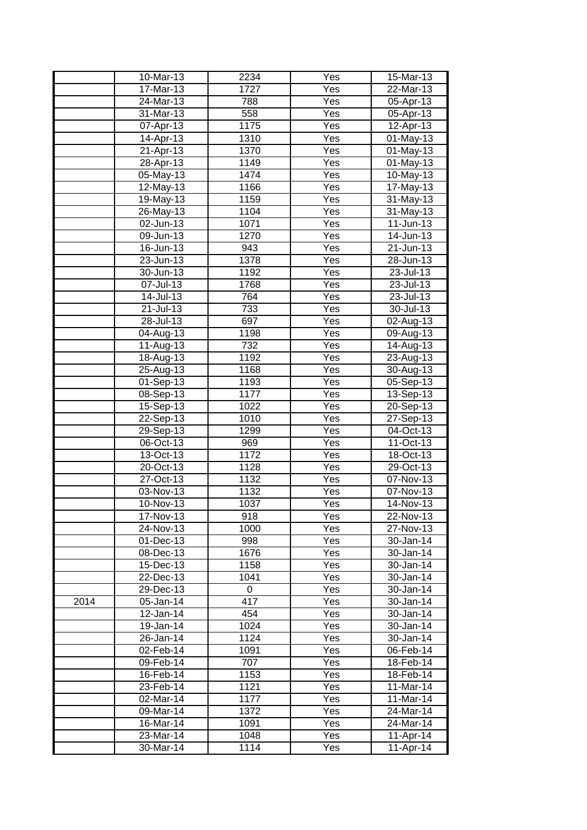|      | 10-Mar-13                  | 2234 | Yes               | 15-Mar-13               |
|------|----------------------------|------|-------------------|-------------------------|
|      | $17-Mar-13$                | 1727 | $\overline{Yes}$  | $22-Mar-13$             |
|      | $24$ -Mar-13               | 788  | Yes               | 05-Apr-13               |
|      | 31-Mar-13                  | 558  | $\overline{Yes}$  | 05-Apr-13               |
|      | 07-Apr-13                  | 1175 | Yes               | $\overline{12}$ -Apr-13 |
|      | 14-Apr-13                  | 1310 | Yes               | $\overline{01}$ -May-13 |
|      | 21-Apr-13                  | 1370 | Yes               | $\overline{01-M}$ ay-13 |
|      | $28 - Apr - 13$            | 1149 | Yes               | $01-May-13$             |
|      | 05-May-13                  | 1474 | Yes               | $10-May-13$             |
|      | 12-May-13                  | 1166 | Yes               | 17-May-13               |
|      | 19-May-13                  | 1159 | Yes               | 31-May-13               |
|      | 26-May-13                  | 1104 | Yes               | 31-May-13               |
|      | 02-Jun-13                  | 1071 | Yes               | $11 - Jun-13$           |
|      | 09-Jun-13                  | 1270 | $\overline{Yes}$  | 14-Jun-13               |
|      | $16 - Jun-13$              | 943  | Yes               | $21 - Jun-13$           |
|      | 23-Jun-13                  | 1378 | Yes               | 28-Jun-13               |
|      | 30-Jun-13                  | 1192 | Yes               | $23 -$ Jul-13           |
|      | 07-Jul-13                  | 1768 | $\overline{Y}$ es | 23-Jul-13               |
|      | 14-Jul-13                  | 764  | <b>Yes</b>        | 23-Jul-13               |
|      | 21-Jul-13                  | 733  | Yes               | 30-Jul-13               |
|      | 28-Jul-13                  | 697  | Yes               | 02-Aug-13               |
|      | 04-Aug-13                  | 1198 | Yes               | 09-Aug-13               |
|      | 11-Aug-13                  | 732  | Yes               | 14-Aug-13               |
|      | 18-Aug-13                  | 1192 | Yes               | 23-Aug-13               |
|      | 25-Aug-13                  | 1168 | Yes               | 30-Aug-13               |
|      | $\overline{01}$ -Sep-13    | 1193 | Yes               | $\overline{05}$ -Sep-13 |
|      | $08-Sep-13$                | 1177 | Yes               | 13-Sep-13               |
|      | 15-Sep-13                  | 1022 | Yes               | 20-Sep-13               |
|      | 22-Sep-13                  | 1010 | Yes               | 27-Sep-13               |
|      | 29-Sep-13                  | 1299 | <b>Yes</b>        | 04-Oct-13               |
|      | $06-Oct-13$                | 969  | Yes               | 11-Oct-13               |
|      | 13-Oct-13                  | 1172 | Yes               | 18-Oct-13               |
|      | 20-Oct-13                  | 1128 | Yes               | 29-Oct-13               |
|      | 27-Oct-13                  | 1132 | Yes               | 07-Nov-13               |
|      | 03-Nov-13                  | 1132 | Yes               | 07-Nov-13               |
|      | $10-Nov-13$                | 1037 | Yes               | 14-Nov-13               |
|      | 17-Nov-13                  | 918  | Yes               | 22-Nov-13               |
|      | 24-Nov-13                  | 1000 | Yes               | 27-Nov-13               |
|      | 01-Dec-13                  | 998  | Yes               | 30-Jan-14               |
|      | 08-Dec-13                  | 1676 | Yes               | $30 - Jan-14$           |
|      | 15-Dec-13                  | 1158 | Yes               | $30 - Jan-14$           |
|      | 22-Dec-13                  | 1041 | Yes               | $30 - Jan-14$           |
|      | 29-Dec-13                  | 0    | Yes               | 30-Jan-14               |
| 2014 | 05-Jan-14                  | 417  | Yes               | 30-Jan-14               |
|      | 12-Jan-14                  | 454  | Yes               | 30-Jan-14               |
|      | 19-Jan-14                  | 1024 | Yes               | 30-Jan-14               |
|      | 26-Jan-14                  | 1124 | Yes               | 30-Jan-14               |
|      | $02$ -Feb- $\overline{14}$ | 1091 | Yes               | 06-Feb-14               |
|      | 09-Feb-14                  | 707  | Yes               | 18-Feb-14               |
|      | 16-Feb-14                  | 1153 | Yes               | 18-Feb-14               |
|      | 23-Feb-14                  | 1121 | Yes               | 11-Mar-14               |
|      | 02-Mar-14                  | 1177 | Yes               | 11-Mar-14               |
|      | 09-Mar-14                  | 1372 | Yes               | 24-Mar-14               |
|      | 16-Mar-14                  | 1091 | Yes               | 24-Mar-14               |
|      | 23-Mar-14                  | 1048 | Yes               | 11-Apr-14               |
|      | 30-Mar-14                  | 1114 | Yes               | 11-Apr-14               |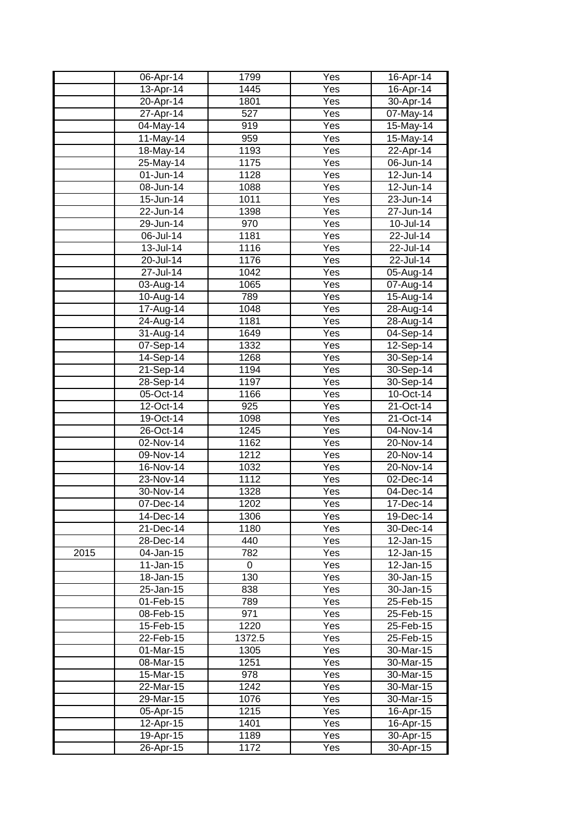|      | 06-Apr-14                            | 1799             | Yes               | $16 - Apr - 14$         |
|------|--------------------------------------|------------------|-------------------|-------------------------|
|      | $13 - Apr - 14$                      | 1445             | Yes               | $16 - Apr - 14$         |
|      | 20-Apr-14                            | 1801             | Yes               | 30-Apr-14               |
|      | $27 - Apr - 14$                      | $\overline{527}$ | $\overline{Y}$ es | $07 - May-14$           |
|      | $\overline{04}$ -May-14              | 919              | Yes               | $15-May-14$             |
|      | $11$ -May-14                         | 959              | Yes               | $15-May-14$             |
|      | 18-May-14                            | 1193             | Yes               | $22 - Apr - 14$         |
|      | 25-May-14                            | 1175             | $\overline{Y}$ es | 06-Jun-14               |
|      | $01$ -Jun-14                         | 1128             | Yes               | $12 - Jun-14$           |
|      | 08-Jun-14                            | 1088             | Yes               | 12-Jun-14               |
|      | $15 - Jun-14$                        | 1011             | Yes               | $23 - Jun-14$           |
|      | $22 - Jun-14$                        | 1398             | Yes               | $27 - Jun-14$           |
|      | 29-Jun-14                            | 970              | Yes               | 10-Jul-14               |
|      | 06-Jul-14                            | 1181             | $\overline{Yes}$  | 22-Jul-14               |
|      | $13 -$ Jul-14                        | 1116             | Yes               | $22$ -Jul-14            |
|      | 20-Jul-14                            | 1176             | Yes               | 22-Jul-14               |
|      | 27-Jul-14                            | 1042             | Yes               | $\overline{05}$ -Aug-14 |
|      | $\overline{03}$ -Aug-14              | 1065             | Yes               | $\overline{07}$ -Aug-14 |
|      | $10 - Aug-14$                        | 789              | <b>Yes</b>        | $15$ -Aug-14            |
|      |                                      | 1048             | Yes               |                         |
|      | 17-Aug-14                            | 1181             | Yes               | 28-Aug-14               |
|      | 24-Aug-14                            | 1649             | Yes               | 28-Aug-14               |
|      | 31-Aug-14                            | 1332             | Yes               | 04-Sep-14               |
|      | $\overline{0}$ 7-Sep-14              | 1268             |                   | 12-Sep-14               |
|      | 14-Sep-14                            |                  | Yes               | 30-Sep-14               |
|      | 21-Sep-14                            | 1194             | Yes               | 30-Sep-14               |
|      | $28-Sep-14$                          | 1197             | Yes               | $30-Sep-14$             |
|      | 05-Oct-14                            | 1166             | Yes               | 10-Oct-14               |
|      | 12-Oct-14                            | 925              | Yes               | 21-Oct-14               |
|      | 19-Oct-14                            | 1098             | Yes               | 21-Oct-14               |
|      | 26-Oct-14                            | 1245             | <b>Yes</b>        | 04-Nov-14<br>20-Nov-14  |
|      | 02-Nov-14<br>09-Nov-14               | 1162<br>1212     | Yes<br>Yes        | 20-Nov-14               |
|      | $16 - Nov-14$                        | 1032             | Yes               | $20 - Nov-14$           |
|      | $23-Nov-14$                          | 1112             | Yes               | $02$ -Dec-14            |
|      | 30-Nov-14                            | 1328             | Yes               | $04 - Dec-14$           |
|      | $07 - Dec-14$                        |                  |                   | 17-Dec-14               |
|      |                                      | 1202             | Yes               |                         |
|      | 14-Dec-14                            | 1306             | Yes               | 19-Dec-14               |
|      | 21-Dec-14                            | 1180             | Yes               | 30-Dec-14               |
| 2015 | 28-Dec-14<br>$\overline{04}$ -Jan-15 | 440<br>782       | Yes               | 12-Jan-15               |
|      | $11-Jan-15$                          | 0                | Yes               | 12-Jan-15<br>12-Jan-15  |
|      | 18-Jan-15                            | 130              | Yes<br>Yes        | 30-Jan-15               |
|      | 25-Jan-15                            | 838              | Yes               | 30-Jan-15               |
|      | 01-Feb-15                            | 789              | Yes               | 25-Feb-15               |
|      | 08-Feb-15                            | 971              | Yes               | 25-Feb-15               |
|      | 15-Feb-15                            | 1220             | Yes               | 25-Feb-15               |
|      |                                      | 1372.5           |                   |                         |
|      | 22-Feb-15<br>$\overline{01-M}$ ar-15 | 1305             | Yes<br>Yes        | 25-Feb-15<br>30-Mar-15  |
|      | $08-Mar-15$                          | 1251             | Yes               | 30-Mar-15               |
|      | 15-Mar-15                            | 978              | Yes               | 30-Mar-15               |
|      | 22-Mar-15                            |                  |                   | $30$ -Mar-15            |
|      | 29-Mar-15                            | 1242<br>1076     | Yes<br>Yes        | 30-Mar-15               |
|      | 05-Apr-15                            | 1215             | Yes               | 16-Apr-15               |
|      | 12-Apr-15                            |                  | Yes               | 16-Apr-15               |
|      | 19-Apr-15                            | 1401<br>1189     | Yes               | 30-Apr-15               |
|      | 26-Apr-15                            | 1172             | Yes               | 30-Apr-15               |
|      |                                      |                  |                   |                         |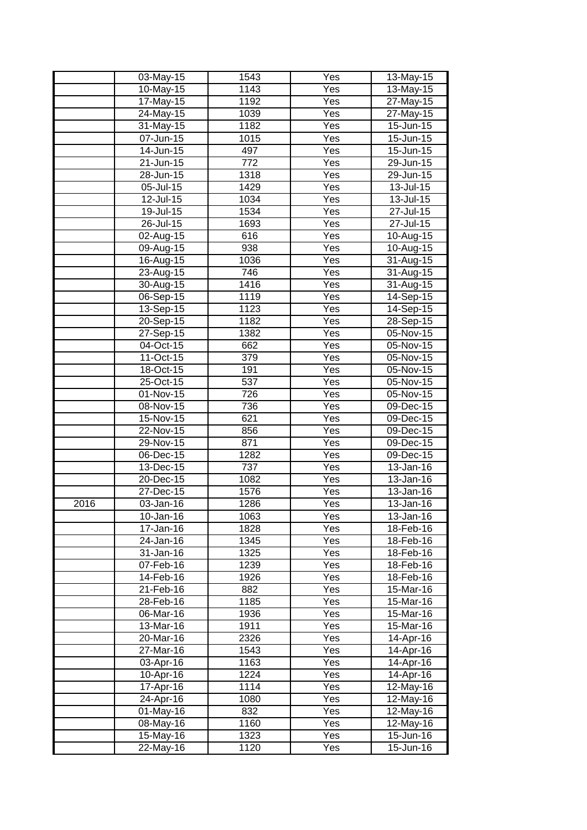|      | $03-May-15$                | 1543             | Yes               | $13-May-15$             |
|------|----------------------------|------------------|-------------------|-------------------------|
|      | $10-May-15$                | 1143             | $\overline{Yes}$  | $13-May-15$             |
|      | $17-May-15$                | 1192             | Yes               | $27$ -May-15            |
|      | $24$ -May-15               | 1039             | $\overline{Yes}$  | $27 - May-15$           |
|      | $31-May-15$                | 1182             | Yes               | 15-Jun-15               |
|      | 07-Jun-15                  | 1015             | Yes               | 15-Jun-15               |
|      | $14$ -Jun-15               | 497              | Yes               | $15 - Jun-15$           |
|      | $21$ -Jun-15               | 772              | $\overline{Y}$ es | $29 - Jun-15$           |
|      | $28 - Jun-15$              | 1318             | Yes               | $29 - Jun-15$           |
|      | 05-Jul-15                  | 1429             | Yes               | 13-Jul-15               |
|      | 12-Jul-15                  | 1034             | Yes               | $13 -$ Jul-15           |
|      | $19 -$ Jul-15              | 1534             | Yes               | $27 -$ Jul-15           |
|      | 26-Jul-15                  | 1693             | Yes               | 27-Jul-15               |
|      | $\overline{02}$ -Aug-15    | 616              | Yes               | 10-Aug-15               |
|      | 09-Aug-15                  | 938              | Yes               | 10-Aug-15               |
|      | 16-Aug-15                  | 1036             | Yes               | 31-Aug-15               |
|      | 23-Aug-15                  | 746              | Yes               | $31 - Aug-15$           |
|      | $30 - Aug-15$              | 1416             | Yes               | $31 - Aug-15$           |
|      | $06 - Sep-15$              | 1119             | Yes               | $14-Sep-15$             |
|      | 13-Sep-15                  | 1123             | Yes               | $\overline{14}$ -Sep-15 |
|      | $20-$ Sep-15               | 1182             | Yes               | $28-Sep-15$             |
|      | $27-Sep-15$                | 1382             | Yes               | 05-Nov-15               |
|      | 04-Oct-15                  | 662              | Yes               | 05-Nov-15               |
|      | 11-Oct-15                  | 379              | <b>Yes</b>        | $\overline{05}$ -Nov-15 |
|      | 18-Oct-15                  | 191              | Yes               | $\overline{05}$ -Nov-15 |
|      | 25-Oct-15                  | 537              | Yes               | 05-Nov-15               |
|      | 01-Nov-15                  | $\overline{726}$ | Yes               | 05-Nov-15               |
|      | 08-Nov-15                  | 736              | Yes               | 09-Dec-15               |
|      | 15-Nov-15                  | 621              | Yes               | 09-Dec-15               |
|      | 22-Nov-15                  | 856              | Yes               | 09-Dec-15               |
|      | 29-Nov-15                  | $\overline{871}$ | Yes               | 09-Dec-15               |
|      | $06$ -Dec- $\overline{15}$ | 1282             | Yes               | 09-Dec-15               |
|      | $13 - Dec - 15$            | 737              | Yes               | $13 - Jan-16$           |
|      | 20-Dec-15                  | 1082             | Yes               | $13 - Jan-16$           |
|      | $27 - Dec-15$              | 1576             | Yes               | $13 - Jan-16$           |
| 2016 | 03-Jan-16                  | 1286             | Yes               | $13 - Jan-16$           |
|      | 10-Jan-16                  | 1063             | Yes               | 13-Jan-16               |
|      | 17-Jan-16                  | 1828             | Yes               | 18-Feb-16               |
|      | 24-Jan-16                  | 1345             | Yes               | 18-Feb-16               |
|      | 31-Jan-16                  | 1325             | $\overline{Yes}$  | 18-Feb-16               |
|      | 07-Feb-16                  | 1239             | Yes               | 18-Feb-16               |
|      | 14-Feb-16                  | 1926             | Yes               | 18-Feb-16               |
|      | 21-Feb-16                  | 882              | Yes               | 15-Mar-16               |
|      | 28-Feb-16                  | 1185             | Yes               | 15-Mar-16               |
|      | 06-Mar-16                  | 1936             | Yes               | 15-Mar-16               |
|      | 13-Mar-16                  | 1911             | Yes               | 15-Mar-16               |
|      | 20-Mar-16                  | 2326             | Yes               | 14-Apr-16               |
|      | 27-Mar-16                  | 1543             | Yes               | 14-Apr-16               |
|      | 03-Apr-16                  | 1163             | Yes               | 14-Apr-16               |
|      | $10-Apr-16$                | 1224             | Yes               | 14-Apr-16               |
|      | 17-Apr-16                  | 1114             | Yes               | $12-May-16$             |
|      | 24-Apr-16                  | 1080             | Yes               | 12-May-16               |
|      | 01-May-16                  | 832              | Yes               | 12-May-16               |
|      | 08-May-16                  | 1160             | Yes               | 12-May-16               |
|      | 15-May-16                  | 1323             | Yes               | 15-Jun-16               |
|      | 22-May-16                  | 1120             | Yes               | 15-Jun-16               |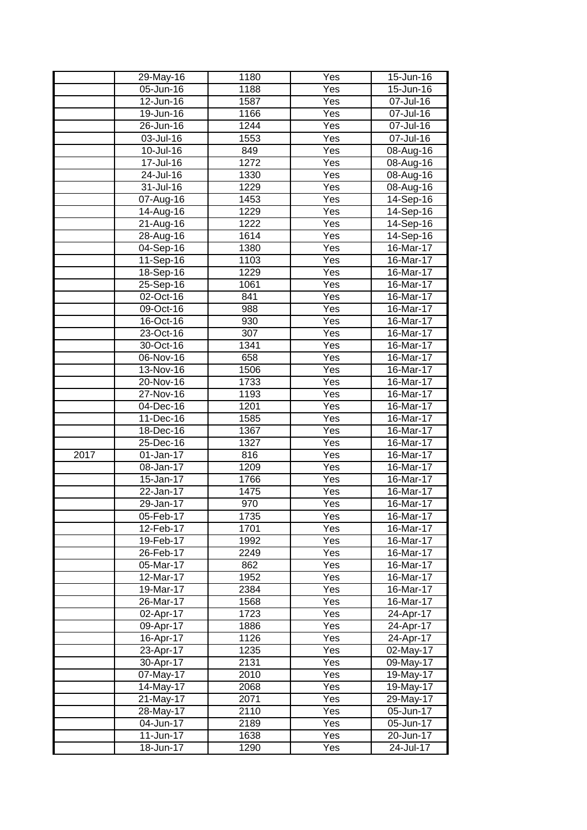|      | 29-May-16     | 1180             | $\overline{Yes}$  | $15 - Jun-16$           |
|------|---------------|------------------|-------------------|-------------------------|
|      | 05-Jun-16     | 1188             | $\overline{Yes}$  | 15-Jun-16               |
|      | $12 - Jun-16$ | 1587             | $\overline{Yes}$  | 07-Jul-16               |
|      | 19-Jun-16     | 1166             | Yes               | 07-Jul-16               |
|      | 26-Jun-16     | 1244             | Yes               | 07-Jul-16               |
|      | 03-Jul-16     | 1553             | Yes               | 07-Jul-16               |
|      | $10 -$ Jul-16 | 849              | Yes               | 08-Aug-16               |
|      | 17-Jul-16     | 1272             | $\overline{Yes}$  | $\overline{08}$ -Aug-16 |
|      | 24-Jul-16     | 1330             | Yes               | 08-Aug-16               |
|      | 31-Jul-16     | 1229             | Yes               | 08-Aug-16               |
|      | 07-Aug-16     | 1453             | $\overline{Yes}$  | 14-Sep-16               |
|      | 14-Aug-16     | 1229             | $\overline{Y}$ es | $14-Sep-16$             |
|      | 21-Aug-16     | 1222             | Yes               | 14-Sep-16               |
|      | $28$ -Aug-16  | 1614             | $\overline{Y}$ es | $14-Sep-16$             |
|      | 04-Sep-16     | 1380             | $\overline{Yes}$  | $16$ -Mar-17            |
|      | 11-Sep-16     | 1103             | Yes               | 16-Mar-17               |
|      | $18-$ Sep-16  | 1229             | Yes               | 16-Mar-17               |
|      | $25-Sep-16$   | 1061             | Yes               | 16-Mar-17               |
|      | 02-Oct-16     | 841              | Yes               | 16-Mar-17               |
|      | 09-Oct-16     | 988              | Yes               | 16-Mar-17               |
|      | 16-Oct-16     | 930              | Yes               | 16-Mar-17               |
|      | 23-Oct-16     | 307              | Yes               | $16$ -Mar-17            |
|      | 30-Oct-16     | 1341             | Yes               | 16-Mar-17               |
|      | 06-Nov-16     | 658              | Yes               | 16-Mar-17               |
|      | 13-Nov-16     | 1506             | Yes               | 16-Mar-17               |
|      | 20-Nov-16     | 1733             | Yes               | 16-Mar-17               |
|      | 27-Nov-16     | 1193             | Yes               | 16-Mar-17               |
|      | 04-Dec-16     | 1201             | Yes               | $16$ -Mar-17            |
|      | 11-Dec-16     | 1585             | Yes               | $16$ -Mar-17            |
|      | 18-Dec-16     | 1367             | <b>Yes</b>        | $16$ -Mar-17            |
|      | 25-Dec-16     | 1327             | Yes               | 16-Mar-17               |
| 2017 | 01-Jan-17     | 816              | $\overline{Y}$ es | 16-Mar-17               |
|      | 08-Jan-17     | 1209             | Yes               | 16-Mar-17               |
|      | $15 - Jan-17$ | 1766             | Yes               | 16-Mar-17               |
|      | $22$ -Jan-17  | 1475             | $\overline{Yes}$  | 16-Mar-17               |
|      | 29-Jan-17     | $\overline{970}$ | Yes               | 16-Mar-17               |
|      | 05-Feb-17     | 1735             | Yes               | 16-Mar-17               |
|      | 12-Feb-17     | 1701             | Yes               | 16-Mar-17               |
|      | 19-Feb-17     | 1992             | Yes               | 16-Mar-17               |
|      | 26-Feb-17     | 2249             | Yes               | 16-Mar-17               |
|      | 05-Mar-17     | 862              | Yes               | 16-Mar-17               |
|      | 12-Mar-17     | 1952             | Yes               | 16-Mar-17               |
|      | 19-Mar-17     | 2384             | Yes               | 16-Mar-17               |
|      | 26-Mar-17     | 1568             | Yes               | 16-Mar-17               |
|      | 02-Apr-17     | 1723             | Yes               | 24-Apr-17               |
|      | 09-Apr-17     | 1886             | Yes               | 24-Apr-17               |
|      | 16-Apr-17     | 1126             | Yes               | 24-Apr-17               |
|      | 23-Apr-17     | 1235             | Yes               | 02-May-17               |
|      | 30-Apr-17     | 2131             | Yes               | 09-May-17               |
|      | 07-May-17     | 2010             | Yes               | $19-May-17$             |
|      | 14-May-17     | 2068             | Yes               | 19-May-17               |
|      | 21-May-17     | 2071             | Yes               | 29-May-17               |
|      | $28$ -May-17  | 2110             | Yes               | 05-Jun-17               |
|      | 04-Jun-17     | 2189             | Yes               | 05-Jun-17               |
|      | 11-Jun-17     | 1638             | Yes               | 20-Jun-17               |
|      | 18-Jun-17     | 1290             | Yes               | 24-Jul-17               |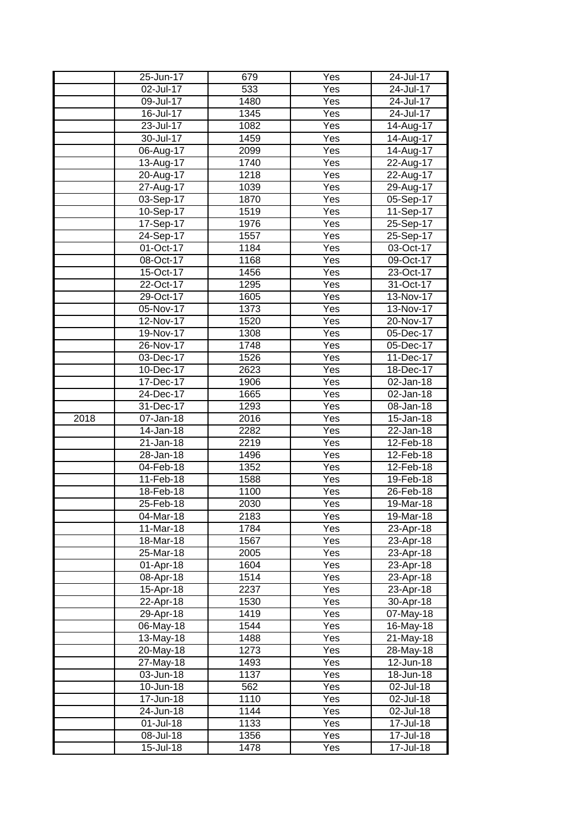|      | 25-Jun-17               | 679  | Yes               | 24-Jul-17                  |
|------|-------------------------|------|-------------------|----------------------------|
|      | 02-Jul-17               | 533  | Yes               | 24-Jul-17                  |
|      | 09-Jul-17               | 1480 | Yes               | 24-Jul-17                  |
|      | 16-Jul-17               | 1345 | Yes               | 24-Jul-17                  |
|      | 23-Jul-17               | 1082 | Yes               | 14-Aug-17                  |
|      | 30-Jul-17               | 1459 | Yes               | $14$ -Aug-17               |
|      | $\overline{06}$ -Aug-17 | 2099 | Yes               | $\overline{14}$ -Aug-17    |
|      | $\overline{13}$ -Aug-17 | 1740 | Yes               | $22$ -Aug-17               |
|      | 20-Aug-17               | 1218 | Yes               | 22-Aug-17                  |
|      | 27-Aug-17               | 1039 | $\overline{Y}$ es | $29$ -Aug-17               |
|      | 03-Sep-17               | 1870 | Yes               | 05-Sep-17                  |
|      | 10-Sep-17               | 1519 | Yes               | 11-Sep-17                  |
|      | 17-Sep-17               | 1976 | Yes               | 25-Sep-17                  |
|      | $24$ -Sep-17            | 1557 | Yes               | $25-$ Sep-17               |
|      | 01-Oct-17               | 1184 | $\overline{Y}$ es | 03-Oct-17                  |
|      | 08-Oct-17               | 1168 | Yes               | 09-Oct-17                  |
|      | 15-Oct-17               | 1456 | Yes               | 23-Oct-17                  |
|      | 22-Oct-17               | 1295 | Yes               | 31-Oct-17                  |
|      | 29-Oct-17               | 1605 | Yes               | 13-Nov-17                  |
|      | 05-Nov-17               | 1373 | Yes               | 13-Nov-17                  |
|      | 12-Nov-17               | 1520 | Yes               | 20-Nov-17                  |
|      | 19-Nov-17               | 1308 | Yes               | 05-Dec-17                  |
|      | 26-Nov-17               | 1748 | Yes               | 05-Dec-17                  |
|      | 03-Dec-17               | 1526 | Yes               | 11-Dec-17                  |
|      | 10-Dec-17               | 2623 | Yes               | 18-Dec-17                  |
|      | 17-Dec-17               | 1906 | Yes               | 02-Jan-18                  |
|      | 24-Dec-17               | 1665 | Yes               | 02-Jan-18                  |
|      | 31-Dec-17               | 1293 | Yes               | 08-Jan-18                  |
| 2018 | 07-Jan-18               | 2016 | Yes               | 15-Jan-18                  |
|      | 14-Jan-18               | 2282 | Yes               | 22-Jan-18                  |
|      | 21-Jan-18               | 2219 | Yes               | $12 - \overline{Feb-18}$   |
|      | $28 - Jan-18$           | 1496 | $\overline{Y}$ es | $12 - \overline{F}eb - 18$ |
|      | 04-Feb-18               | 1352 | $\overline{Yes}$  | $12 - \overline{F}eb - 18$ |
|      | 11-Feb-18               | 1588 | Yes               | 19-Feb-18                  |
|      | 18-Feb-18               | 1100 | Yes               | 26-Feb-18                  |
|      | 25-Feb-18               | 2030 | $\overline{Y}$ es | 19-Mar-18                  |
|      | 04-Mar-18               | 2183 | Yes               | 19-Mar-18                  |
|      | 11-Mar-18               | 1784 | Yes               | 23-Apr-18                  |
|      | 18-Mar-18               | 1567 | Yes               | 23-Apr-18                  |
|      | 25-Mar-18               | 2005 | Yes               | 23-Apr-18                  |
|      | $\overline{01}$ -Apr-18 | 1604 | Yes               | $23-Apr-18$                |
|      | 08-Apr-18               | 1514 | Yes               | 23-Apr-18                  |
|      | 15-Apr-18               | 2237 | Yes               | 23-Apr-18                  |
|      | 22-Apr-18               | 1530 | Yes               | 30-Apr-18                  |
|      | 29-Apr-18               | 1419 | Yes               | 07-May-18                  |
|      | 06-May-18               | 1544 | Yes               | 16-May-18                  |
|      | $13-May-18$             | 1488 | Yes               | 21-May-18                  |
|      | 20-May-18               | 1273 | <b>Yes</b>        | 28-May-18                  |
|      | $27 - May-18$           | 1493 | Yes               | 12-Jun-18                  |
|      | $03 - Jun-18$           | 1137 | Yes               | 18-Jun-18                  |
|      | 10-Jun-18               | 562  | Yes               | 02-Jul-18                  |
|      | 17-Jun-18               | 1110 | Yes               | 02-Jul-18                  |
|      | 24-Jun-18               | 1144 | Yes               | 02-Jul-18                  |
|      | 01-Jul-18               | 1133 | Yes               | 17-Jul-18                  |
|      | 08-Jul-18               | 1356 | Yes               | 17-Jul-18                  |
|      | $15 -$ Jul-18           | 1478 | Yes               | $\overline{17}$ -Jul-18    |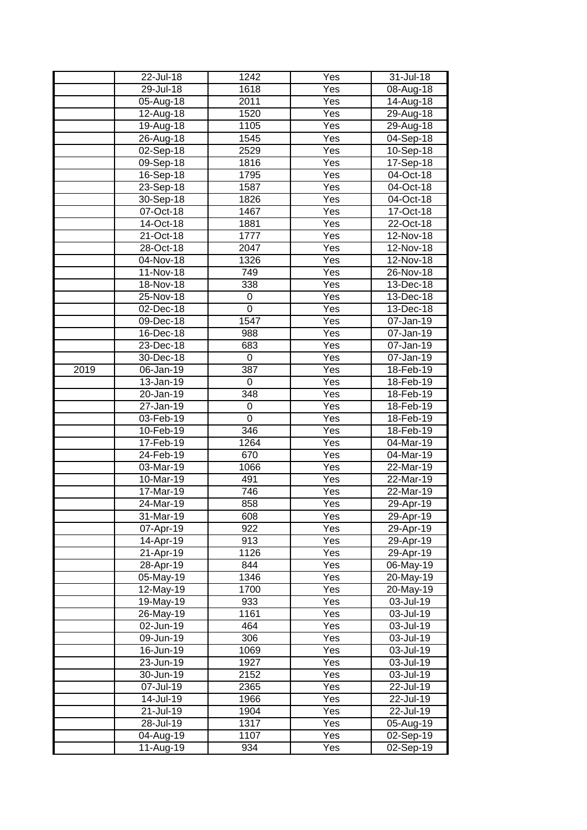|      | 22-Jul-18               | 1242           | Yes               | 31-Jul-18               |
|------|-------------------------|----------------|-------------------|-------------------------|
|      | 29-Jul-18               | 1618           | Yes               | 08-Aug-18               |
|      | 05-Aug-18               | 2011           | Yes               | $14 - Aug-18$           |
|      | $\overline{12}$ -Aug-18 | 1520           | $\overline{Yes}$  | $29 - Aug-18$           |
|      | 19-Aug-18               | 1105           | Yes               | $29-Aug-18$             |
|      | $26 - Aug-18$           | 1545           | Yes               | $\overline{04}$ -Sep-18 |
|      | $02-Sep-18$             | 2529           | Yes               | 10-Sep-18               |
|      | $09-Sep-18$             | 1816           | $\overline{Y}$ es | $17-Sep-18$             |
|      | $\overline{16}$ -Sep-18 | 1795           | Yes               | 04-Oct-18               |
|      | $23-$ Sep-18            | 1587           | Yes               | 04-Oct-18               |
|      | 30-Sep-18               | 1826           | Yes               | 04-Oct-18               |
|      | 07-Oct-18               | 1467           | Yes               | 17-Oct-18               |
|      | 14-Oct-18               | 1881           | Yes               | 22-Oct-18               |
|      | $21-Oct-18$             | 1777           | $\overline{Y}$ es | 12-Nov-18               |
|      | 28-Oct-18               | 2047           | Yes               | $12-Nov-18$             |
|      |                         |                |                   |                         |
|      | 04-Nov-18               | 1326           | Yes               | 12-Nov-18               |
|      | 11-Nov-18               | 749            | Yes               | 26-Nov-18               |
|      | 18-Nov-18               | 338            | $\overline{Y}$ es | 13-Dec-18               |
|      | 25-Nov-18               | 0              | Yes               | $13$ -Dec-18            |
|      | 02-Dec-18               | $\mathbf 0$    | Yes               | 13-Dec-18               |
|      | 09-Dec-18               | 1547           | Yes               | 07-Jan-19               |
|      | 16-Dec-18               | 988            | Yes               | 07-Jan-19               |
|      | 23-Dec-18               | 683            | Yes               | 07-Jan-19               |
|      | 30-Dec-18               | 0              | Yes               | 07-Jan-19               |
| 2019 | 06-Jan-19               | 387            | Yes               | 18-Feb-19               |
|      | 13-Jan-19               | $\mathbf 0$    | Yes               | 18-Feb-19               |
|      | 20-Jan-19               | 348            | Yes               | 18-Feb-19               |
|      | 27-Jan-19               | 0              | Yes               | 18-Feb-19               |
|      | 03-Feb-19               | $\overline{0}$ | Yes               | 18-Feb-19               |
|      | 10-Feb-19               | 346            | <b>Yes</b>        | 18-Feb-19               |
|      | 17-Feb-19               | 1264           | Yes               | 04-Mar-19               |
|      | 24-Feb-19               | 670            | Yes               | 04-Mar-19               |
|      | 03-Mar-19               | 1066           | Yes               | 22-Mar-19               |
|      | 10-Mar-19               | 491            | Yes               | 22-Mar-19               |
|      | 17-Mar-19               | 746            | $\overline{Yes}$  | 22-Mar-19               |
|      | 24-Mar-19               | 858            | Yes               | 29-Apr-19               |
|      | 31-Mar-19               | 608            | Yes               | 29-Apr-19               |
|      | 07-Apr-19               | 922            | Yes               | 29-Apr-19               |
|      | 14-Apr-19               | 913            | Yes               | 29-Apr-19               |
|      | 21-Apr-19               | 1126           | Yes               | 29-Apr-19               |
|      | 28-Apr-19               | 844            | Yes               | 06-May-19               |
|      | 05-May-19               | 1346           | Yes               | 20-May-19               |
|      | 12-May-19               | 1700           | Yes               | 20-May-19               |
|      | 19-May-19               | 933            | Yes               | 03-Jul-19               |
|      | 26-May-19               | 1161           | Yes               | 03-Jul-19               |
|      | 02-Jun-19               | 464            | Yes               | 03-Jul-19               |
|      | 09-Jun-19               | 306            | Yes               | 03-Jul-19               |
|      | 16-Jun-19               | 1069           | <b>Yes</b>        | 03-Jul-19               |
|      | 23-Jun-19               | 1927           | Yes               | 03-Jul-19               |
|      | 30-Jun-19               | 2152           | Yes               | 03-Jul-19               |
|      | 07-Jul-19               | 2365           | Yes               | 22-Jul-19               |
|      | 14-Jul-19               | 1966           | Yes               | 22-Jul-19               |
|      | 21-Jul-19               | 1904           | Yes               | 22-Jul-19               |
|      | 28-Jul-19               | 1317           | Yes               | 05-Aug-19               |
|      | 04-Aug-19               | 1107           | Yes               | 02-Sep-19               |
|      | 11-Aug-19               | 934            | Yes               | 02-Sep-19               |
|      |                         |                |                   |                         |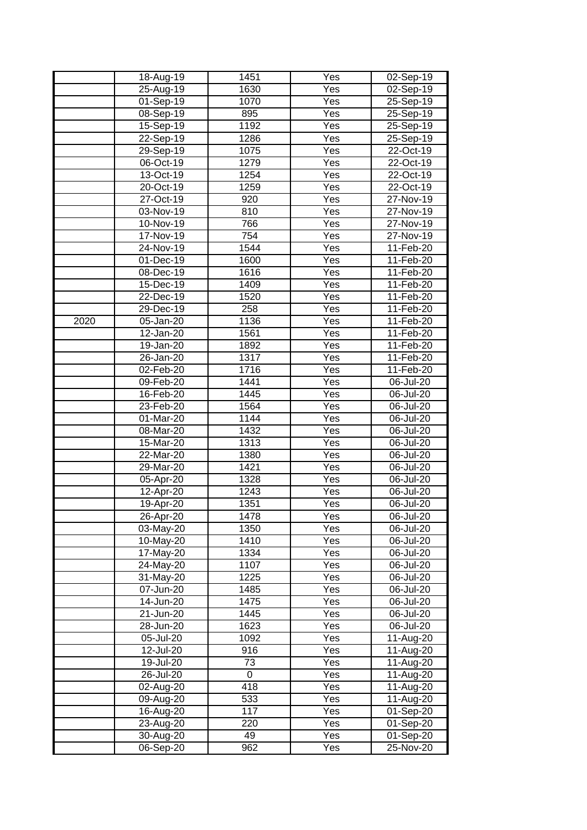|      | $\overline{18}$ -Aug-19 | 1451              | Yes               | $02-Sep-19$  |
|------|-------------------------|-------------------|-------------------|--------------|
|      | $25 - Aug-19$           | 1630              | $\overline{Yes}$  | 02-Sep-19    |
|      | 01-Sep-19               | 1070              | $\overline{Yes}$  | 25-Sep-19    |
|      | $08-$ Sep-19            | 895               | $\overline{Yes}$  | $25-$ Sep-19 |
|      | 15-Sep-19               | 1192              | $\overline{Yes}$  | $25-$ Sep-19 |
|      | $22-$ Sep-19            | 1286              | Yes               | 25-Sep-19    |
|      | $29-Sep-19$             | 1075              | Yes               | 22-Oct-19    |
|      | 06-Oct-19               | 1279              | $\overline{Yes}$  | 22-Oct-19    |
|      | 13-Oct-19               | 1254              | Yes               | 22-Oct-19    |
|      | 20-Oct-19               | 1259              | Yes               | 22-Oct-19    |
|      | 27-Oct-19               | $\overline{920}$  | Yes               | 27-Nov-19    |
|      | 03-Nov-19               | 810               | $\overline{Y}$ es | 27-Nov-19    |
|      | 10-Nov-19               | 766               | Yes               | 27-Nov-19    |
|      | 17-Nov-19               | 754               | Yes               | 27-Nov-19    |
|      | 24-Nov-19               | 1544              | Yes               | 11-Feb-20    |
|      | 01-Dec-19               | 1600              | Yes               | $11-Feb-20$  |
|      | 08-Dec-19               | 1616              | Yes               | 11-Feb-20    |
|      | 15-Dec-19               | 1409              | Yes               | 11-Feb-20    |
|      | 22-Dec-19               | 1520              | Yes               | 11-Feb-20    |
|      | 29-Dec-19               | 258               | Yes               | 11-Feb-20    |
| 2020 | 05-Jan-20               | 1136              | Yes               | 11-Feb-20    |
|      | 12-Jan-20               | 1561              | Yes               | 11-Feb-20    |
|      | 19-Jan-20               | 1892              | Yes               | 11-Feb-20    |
|      | 26-Jan-20               | 1317              | Yes               | 11-Feb-20    |
|      | 02-Feb-20               | $\overline{1716}$ | Yes               | 11-Feb-20    |
|      | 09-Feb-20               | 1441              | Yes               | 06-Jul-20    |
|      | 16-Feb-20               | 1445              | Yes               | 06-Jul-20    |
|      | 23-Feb-20               | 1564              | Yes               | 06-Jul-20    |
|      | 01-Mar-20               | 1144              | Yes               | 06-Jul-20    |
|      | 08-Mar-20               | 1432              | <b>Yes</b>        | 06-Jul-20    |
|      | 15-Mar-20               | 1313              | Yes               | 06-Jul-20    |
|      | 22-Mar-20               | 1380              | Yes               | 06-Jul-20    |
|      | 29-Mar-20               | 1421              | Yes               | 06-Jul-20    |
|      | 05-Apr-20               | 1328              | Yes               | 06-Jul-20    |
|      | $12-Apr-20$             | 1243              | $\overline{Yes}$  | 06-Jul-20    |
|      | 19-Apr-20               | 1351              | Yes               | 06-Jul-20    |
|      | 26-Apr-20               | 1478              | Yes               | 06-Jul-20    |
|      | 03-May-20               | 1350              | Yes               | 06-Jul-20    |
|      | 10-May-20               | 1410              | Yes               | 06-Jul-20    |
|      | 17-May-20               | 1334              | Yes               | 06-Jul-20    |
|      | 24-May-20               | 1107              | Yes               | 06-Jul-20    |
|      | 31-May-20               | 1225              | Yes               | 06-Jul-20    |
|      | 07-Jun-20               | 1485              | Yes               | 06-Jul-20    |
|      | 14-Jun-20               | 1475              | Yes               | 06-Jul-20    |
|      | 21-Jun-20               | 1445              | Yes               | 06-Jul-20    |
|      | 28-Jun-20               | 1623              | Yes               | 06-Jul-20    |
|      | 05-Jul-20               | 1092              | Yes               | 11-Aug-20    |
|      | 12-Jul-20               | 916               | Yes               | 11-Aug-20    |
|      | 19-Jul-20               | 73                | <b>Yes</b>        | 11-Aug-20    |
|      | 26-Jul-20               | 0                 | Yes               | 11-Aug-20    |
|      | 02-Aug-20               | 418               | Yes               | 11-Aug-20    |
|      | 09-Aug-20               | 533               | Yes               | 11-Aug-20    |
|      | 16-Aug-20               | 117               | Yes               | 01-Sep-20    |
|      | 23-Aug-20               | 220               | Yes               | 01-Sep-20    |
|      | 30-Aug-20               | 49                | Yes               | 01-Sep-20    |
|      | 06-Sep-20               | 962               | Yes               | 25-Nov-20    |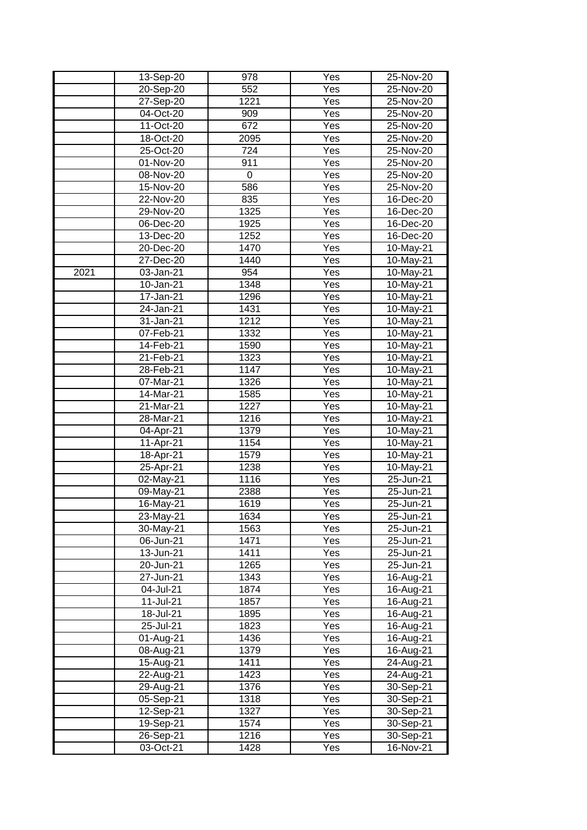|      | 13-Sep-20               | 978              | $\overline{Yes}$  | 25-Nov-20               |
|------|-------------------------|------------------|-------------------|-------------------------|
|      | 20-Sep-20               | 552              | $\overline{Y}$ es | 25-Nov-20               |
|      | $27-$ Sep-20            | 1221             | Yes               | 25-Nov-20               |
|      | 04-Oct-20               | 909              | Yes               | 25-Nov-20               |
|      | 11-Oct-20               | 672              | $\overline{Y}$ es | 25-Nov-20               |
|      | 18-Oct-20               | 2095             | Yes               | 25-Nov-20               |
|      | 25-Oct-20               | $\overline{724}$ | Yes               | $25-Nov-20$             |
|      | 01-Nov-20               | 911              | $\overline{Y}$ es | $25-Nov-20$             |
|      | 08-Nov-20               | 0                | Yes               | 25-Nov-20               |
|      | 15-Nov-20               | 586              | Yes               | 25-Nov-20               |
|      | 22-Nov-20               | 835              | $\overline{Y}$ es | 16-Dec-20               |
|      | 29-Nov-20               | 1325             | Yes               | 16-Dec-20               |
|      | 06-Dec-20               | 1925             | Yes               | 16-Dec-20               |
|      | 13-Dec-20               | 1252             | Yes               | 16-Dec-20               |
|      | 20-Dec-20               | 1470             | $\overline{Yes}$  | $10-May-21$             |
|      | 27-Dec-20               | 1440             | Yes               | 10-May-21               |
| 2021 | 03-Jan-21               | 954              | Yes               | $\overline{10}$ -May-21 |
|      | $\overline{10}$ -Jan-21 | 1348             | $\overline{Y}$ es | $10-May-21$             |
|      | 17-Jan-21               | 1296             | Yes               | $\overline{10}$ -May-21 |
|      | 24-Jan-21               | 1431             | Yes               | 10-May-21               |
|      | 31-Jan-21               | 1212             | Yes               | 10-May-21               |
|      | 07-Feb-21               | 1332             | Yes               | 10-May-21               |
|      | 14-Feb-21               | 1590             | Yes               | 10-May-21               |
|      | 21-Feb-21               | 1323             | Yes               | 10-May-21               |
|      | 28-Feb-21               | 1147             | Yes               | 10-May-21               |
|      | 07-Mar-21               | 1326             | Yes               | $\overline{10}$ -May-21 |
|      | 14-Mar-21               | 1585             | Yes               | 10-May-21               |
|      | 21-Mar-21               | 1227             | Yes               | $\overline{10}$ -May-21 |
|      | 28-Mar-21               | 1216             | Yes               | 10-May-21               |
|      | 04-Apr-21               | 1379             | Yes               | 10-May-21               |
|      | 11-Apr-21               | 1154             | Yes               | 10-May-21               |
|      | 18-Apr-21               | 1579             | $\overline{Y}$ es | $\overline{10}$ -May-21 |
|      | $25$ -Apr-21            | 1238             | $\overline{Y}$ es | $10$ -May-21            |
|      | $02-May-21$             | 1116             | Yes               | 25-Jun-21               |
|      | 09-May-21               | 2388             | $\overline{Y}$ es | 25-Jun-21               |
|      | 16-May-21               | 1619             | $\overline{Yes}$  | 25-Jun-21               |
|      | 23-May-21               | 1634             | Yes               | 25-Jun-21               |
|      | 30-May-21               | 1563             | Yes               | 25-Jun-21               |
|      | 06-Jun-21               | 1471             | Yes               | 25-Jun-21               |
|      | 13-Jun-21               | 1411             | Yes               | 25-Jun-21               |
|      | 20-Jun-21               | 1265             | Yes               | 25-Jun-21               |
|      | 27-Jun-21               | 1343             | Yes               | 16-Aug-21               |
|      | 04-Jul-21               | 1874             | Yes               | 16-Aug-21               |
|      | 11-Jul-21               | 1857             | Yes               | 16-Aug-21               |
|      | 18-Jul-21               | 1895             | Yes               | 16-Aug-21               |
|      | 25-Jul-21               | 1823             | Yes               | 16-Aug-21               |
|      | 01-Aug-21               | 1436             | Yes               | 16-Aug-21               |
|      | 08-Aug-21               | 1379             | Yes               | $16$ -Aug-21            |
|      | 15-Aug-21               | 1411             | Yes               | $24$ -Aug-21            |
|      | 22-Aug-21               | 1423             | Yes               | 24-Aug-21               |
|      | $29$ -Aug-21            | 1376             | Yes               | 30-Sep-21               |
|      | 05-Sep-21               | 1318             | Yes               | 30-Sep-21               |
|      | 12-Sep-21               | 1327             | Yes               | 30-Sep-21               |
|      | 19-Sep-21               | 1574             | Yes               | 30-Sep-21               |
|      | 26-Sep-21               | 1216             | Yes               | 30-Sep-21               |
|      | 03-Oct-21               | 1428             | Yes               | 16-Nov-21               |